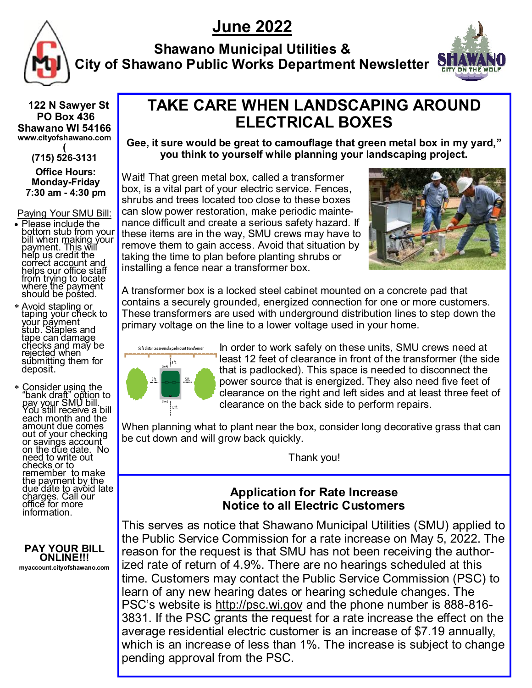# **June 2022**



**Shawano Municipal Utilities & City of Shawano Public Works Department Newsletter**



 **122 N Sawyer St PO Box 436 Shawano WI 54166 www.cityofshawano.com (**

**(715) 526-3131 Office Hours: Monday-Friday 7:30 am - 4:30 pm**

Paying Your SMU Bill:

- Please include the bottom stub from your bill when making your payment. This will help us credit the correct account and helps our office staff from trying to locate where the payment should be posted.
- Avoid stapling or taping your check to your payment stub. Staples and tape can damage checks and may be rejected when submitting them for deposit.
- \* Consider using the "bank draft" option to pay your SMU bill. You still receive a bill each month and the amount due comes out of your checking or savings account on the due date. No need to write out checks or to remember to make the payment by the due date to avoid late charges. Call our office for more information.

**PAY YOUR BILL ONLINE!!! myaccount.cityofshawano.com**

## **TAKE CARE WHEN LANDSCAPING AROUND ELECTRICAL BOXES**

**Gee, it sure would be great to camouflage that green metal box in my yard," you think to yourself while planning your landscaping project.**

Wait! That green metal box, called a transformer box, is a vital part of your electric service. Fences, shrubs and trees located too close to these boxes can slow power restoration, make periodic maintenance difficult and create a serious safety hazard. If these items are in the way, SMU crews may have to remove them to gain access. Avoid that situation by taking the time to plan before planting shrubs or installing a fence near a transformer box.



A transformer box is a locked steel cabinet mounted on a concrete pad that contains a securely grounded, energized connection for one or more customers. These transformers are used with underground distribution lines to step down the primary voltage on the line to a lower voltage used in your home.



In order to work safely on these units, SMU crews need at least 12 feet of clearance in front of the transformer (the side that is padlocked). This space is needed to disconnect the power source that is energized. They also need five feet of clearance on the right and left sides and at least three feet of clearance on the back side to perform repairs.

When planning what to plant near the box, consider long decorative grass that can be cut down and will grow back quickly.

Thank you!

### **Application for Rate Increase Notice to all Electric Customers**

This serves as notice that Shawano Municipal Utilities (SMU) applied to the Public Service Commission for a rate increase on May 5, 2022. The reason for the request is that SMU has not been receiving the authorized rate of return of 4.9%. There are no hearings scheduled at this time. Customers may contact the Public Service Commission (PSC) to learn of any new hearing dates or hearing schedule changes. The PSC's website is<http://psc.wi.gov> and the phone number is 888-816-3831. If the PSC grants the request for a rate increase the effect on the average residential electric customer is an increase of \$7.19 annually, which is an increase of less than 1%. The increase is subject to change pending approval from the PSC.